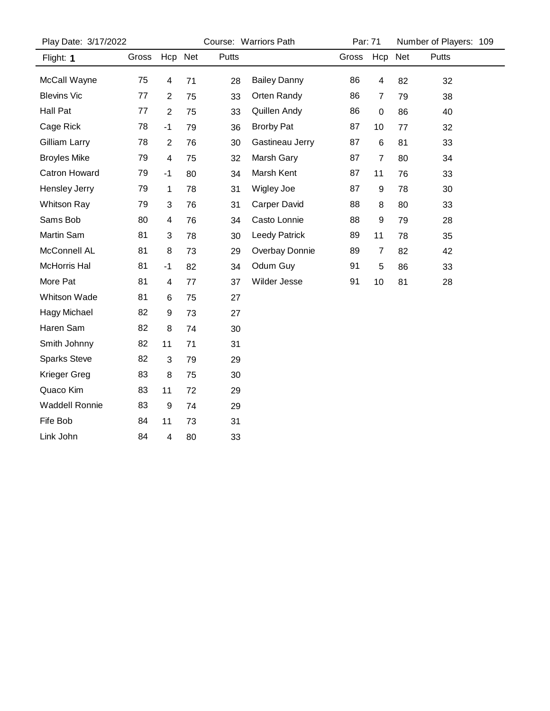| Play Date: 3/17/2022 |       |                  | Course: Warriors Path |              |                      |       | Par: 71          |     | Number of Players: 109 |
|----------------------|-------|------------------|-----------------------|--------------|----------------------|-------|------------------|-----|------------------------|
| Flight: 1            | Gross | Hcp Net          |                       | <b>Putts</b> |                      | Gross | Hcp              | Net | Putts                  |
| McCall Wayne         | 75    | 4                | 71                    | 28           | <b>Bailey Danny</b>  | 86    | 4                | 82  | 32                     |
| <b>Blevins Vic</b>   | 77    | $\overline{2}$   | 75                    | 33           | Orten Randy          | 86    | 7                | 79  | 38                     |
| Hall Pat             | 77    | $\overline{c}$   | 75                    | 33           | Quillen Andy         | 86    | 0                | 86  | 40                     |
| Cage Rick            | 78    | $-1$             | 79                    | 36           | <b>Brorby Pat</b>    | 87    | 10               | 77  | 32                     |
| Gilliam Larry        | 78    | $\overline{c}$   | 76                    | 30           | Gastineau Jerry      | 87    | 6                | 81  | 33                     |
| <b>Broyles Mike</b>  | 79    | 4                | 75                    | 32           | Marsh Gary           | 87    | 7                | 80  | 34                     |
| <b>Catron Howard</b> | 79    | $-1$             | 80                    | 34           | Marsh Kent           | 87    | 11               | 76  | 33                     |
| Hensley Jerry        | 79    | 1                | 78                    | 31           | Wigley Joe           | 87    | $\boldsymbol{9}$ | 78  | 30                     |
| <b>Whitson Ray</b>   | 79    | 3                | 76                    | 31           | <b>Carper David</b>  | 88    | 8                | 80  | 33                     |
| Sams Bob             | 80    | 4                | 76                    | 34           | Casto Lonnie         | 88    | $\boldsymbol{9}$ | 79  | 28                     |
| Martin Sam           | 81    | 3                | 78                    | 30           | <b>Leedy Patrick</b> | 89    | 11               | 78  | 35                     |
| McConnell AL         | 81    | 8                | 73                    | 29           | Overbay Donnie       | 89    | 7                | 82  | 42                     |
| McHorris Hal         | 81    | $-1$             | 82                    | 34           | Odum Guy             | 91    | 5                | 86  | 33                     |
| More Pat             | 81    | 4                | 77                    | 37           | Wilder Jesse         | 91    | 10               | 81  | 28                     |
| Whitson Wade         | 81    | 6                | 75                    | 27           |                      |       |                  |     |                        |
| Hagy Michael         | 82    | 9                | 73                    | 27           |                      |       |                  |     |                        |
| Haren Sam            | 82    | 8                | 74                    | 30           |                      |       |                  |     |                        |
| Smith Johnny         | 82    | 11               | 71                    | 31           |                      |       |                  |     |                        |
| <b>Sparks Steve</b>  | 82    | 3                | 79                    | 29           |                      |       |                  |     |                        |
| Krieger Greg         | 83    | 8                | 75                    | 30           |                      |       |                  |     |                        |
| Quaco Kim            | 83    | 11               | 72                    | 29           |                      |       |                  |     |                        |
| Waddell Ronnie       | 83    | $\boldsymbol{9}$ | 74                    | 29           |                      |       |                  |     |                        |
| Fife Bob             | 84    | 11               | 73                    | 31           |                      |       |                  |     |                        |
| Link John            | 84    | 4                | 80                    | 33           |                      |       |                  |     |                        |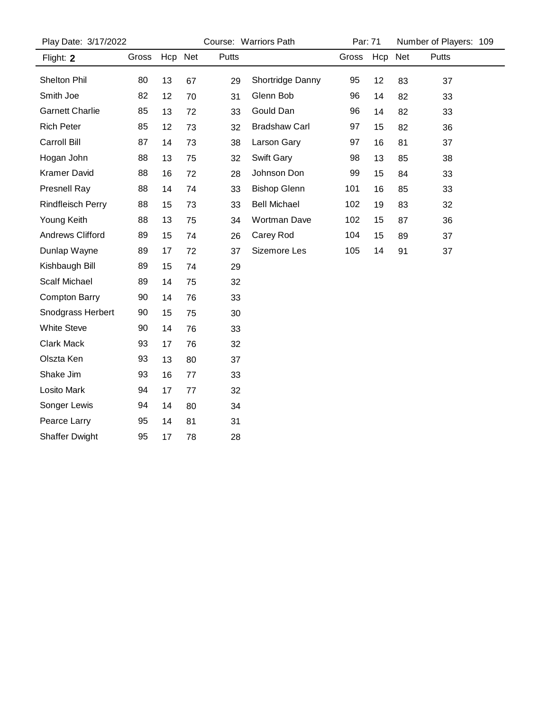| Play Date: 3/17/2022     |       |         |    | Course: Warriors Path | Par: 71              |       | Number of Players: 109 |    |       |  |
|--------------------------|-------|---------|----|-----------------------|----------------------|-------|------------------------|----|-------|--|
| Flight: 2                | Gross | Hcp Net |    | Putts                 |                      | Gross | Hcp Net                |    | Putts |  |
| <b>Shelton Phil</b>      | 80    | 13      | 67 | 29                    | Shortridge Danny     | 95    | 12                     | 83 | 37    |  |
| Smith Joe                | 82    | 12      | 70 | 31                    | Glenn Bob            | 96    | 14                     | 82 | 33    |  |
| <b>Garnett Charlie</b>   | 85    | 13      | 72 | 33                    | Gould Dan            | 96    | 14                     | 82 | 33    |  |
| <b>Rich Peter</b>        | 85    | 12      | 73 | 32                    | <b>Bradshaw Carl</b> | 97    | 15                     | 82 | 36    |  |
| Carroll Bill             | 87    | 14      | 73 | 38                    | Larson Gary          | 97    | 16                     | 81 | 37    |  |
| Hogan John               | 88    | 13      | 75 | 32                    | Swift Gary           | 98    | 13                     | 85 | 38    |  |
| <b>Kramer David</b>      | 88    | 16      | 72 | 28                    | Johnson Don          | 99    | 15                     | 84 | 33    |  |
| <b>Presnell Ray</b>      | 88    | 14      | 74 | 33                    | <b>Bishop Glenn</b>  | 101   | 16                     | 85 | 33    |  |
| <b>Rindfleisch Perry</b> | 88    | 15      | 73 | 33                    | <b>Bell Michael</b>  | 102   | 19                     | 83 | 32    |  |
| Young Keith              | 88    | 13      | 75 | 34                    | <b>Wortman Dave</b>  | 102   | 15                     | 87 | 36    |  |
| <b>Andrews Clifford</b>  | 89    | 15      | 74 | 26                    | Carey Rod            | 104   | 15                     | 89 | 37    |  |
| Dunlap Wayne             | 89    | 17      | 72 | 37                    | Sizemore Les         | 105   | 14                     | 91 | 37    |  |
| Kishbaugh Bill           | 89    | 15      | 74 | 29                    |                      |       |                        |    |       |  |
| <b>Scalf Michael</b>     | 89    | 14      | 75 | 32                    |                      |       |                        |    |       |  |
| <b>Compton Barry</b>     | 90    | 14      | 76 | 33                    |                      |       |                        |    |       |  |
| Snodgrass Herbert        | 90    | 15      | 75 | 30                    |                      |       |                        |    |       |  |
| <b>White Steve</b>       | 90    | 14      | 76 | 33                    |                      |       |                        |    |       |  |
| <b>Clark Mack</b>        | 93    | 17      | 76 | 32                    |                      |       |                        |    |       |  |
| Olszta Ken               | 93    | 13      | 80 | 37                    |                      |       |                        |    |       |  |
| Shake Jim                | 93    | 16      | 77 | 33                    |                      |       |                        |    |       |  |
| Losito Mark              | 94    | 17      | 77 | 32                    |                      |       |                        |    |       |  |
| Songer Lewis             | 94    | 14      | 80 | 34                    |                      |       |                        |    |       |  |
| Pearce Larry             | 95    | 14      | 81 | 31                    |                      |       |                        |    |       |  |
| <b>Shaffer Dwight</b>    | 95    | 17      | 78 | 28                    |                      |       |                        |    |       |  |